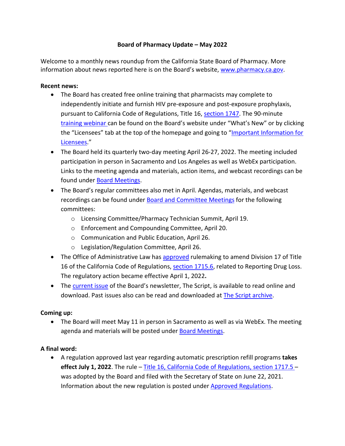## **Board of Pharmacy Update – May 2022**

information about news reported here is on the Board's website, [www.pharmacy.ca.gov.](http://www.pharmacy.ca.gov/) Welcome to a monthly news roundup from the California State Board of Pharmacy. More

## **Recent news:**

- [training webinar c](https://www.pharmacy.ca.gov/licensees/webinars/hiv_prep_pep.shtml)an be found on the Board's website under "What's New" or by clicking the "Licensees" tab at the top of the homepage and going to "<u>Important Information for</u> • The Board has created free online training that pharmacists may complete to independently initiate and furnish HIV pre-exposure and post-exposure prophylaxis, pursuant to California Code of Regulations, Title 16, [section 1747.](https://govt.westlaw.com/calregs/Document/I32CA8984745D4416A1C418A4CB8E49FA?viewType=FullText&listSource=Search&originationContext=Search+Result&transitionType=SearchItem&contextData=(sc.Search)&navigationPath=Search%2fv1%2fresults%2fnavigation%2fi0ad62d340000017f8acafcfc0a96abb5%3fppcid%3dedce35f6dcff45819f0d97199c0fe319%26Nav%3dREGULATION_PUBLICVIEW%26fragmentIdentifier%3dI32CA8984745D4416A1C418A4CB8E49FA%26startIndex%3d1%26transitionType%3dSearchItem%26contextData%3d%2528sc.Default%2529%26originationContext%3dSearch%2520Result&list=REGULATION_PUBLICVIEW&rank=1&t_T1=16&t_T2=1747&t_S1=CA+ADC+s) The 90-minute [Licensees.](https://www.pharmacy.ca.gov/licensees/important_info_licensees.shtml)"
- The Board held its quarterly two-day meeting April 26-27, 2022. The meeting included participation in person in Sacramento and Los Angeles as well as WebEx participation. Links to the meeting agenda and materials, action items, and webcast recordings can be found under **Board Meetings**.
- • The Board's regular committees also met in April. Agendas, materials, and webcast recordings can be found under **Board and Committee Meetings** for the following committees:
	- o Licensing Committee/Pharmacy Technician Summit, April 19.
	- o Enforcement and Compounding Committee, April 20.
	- o Communication and Public Education, April 26.
	- o Legislation/Regulation Committee, April 26.
- The Office of Administrative Law has [approved](https://www.pharmacy.ca.gov/laws_regs/1715_6_na.pdf) rulemaking to amend Division 17 of Title  The regulatory action became effective April 1, 2022**.** 16 of the California Code of Regulations, [section 1715.6,](https://www.pharmacy.ca.gov/laws_regs/1715_6_oa.pdf) related to Reporting Drug Loss.
- The **current issue** of the Board's newsletter, The Script, is available to read online and download. Past issues also can be read and downloaded at **The Script archive**.

## **Coming up:**

• The Board will meet May 11 in person in Sacramento as well as via WebEx. The meeting agenda and materials will be posted under [Board Meetings.](https://www.pharmacy.ca.gov/about/meetings_full.shtml)

## **A final word:**

• A regulation approved last year regarding automatic prescription refill programs **takes effect July 1, 2022**. The rule [– Title 16, California Code of Regulations, section 1717.5 –](https://www.pharmacy.ca.gov/laws_regs/1717_5_oa.pdf) was adopted by the Board and filed with the Secretary of State on June 22, 2021. Information about the new regulation is posted under [Approved Regulations.](https://www.pharmacy.ca.gov/laws_regs/approved_regs.shtml)